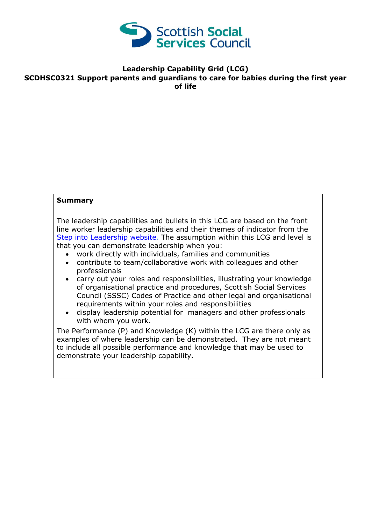

#### **Leadership Capability Grid (LCG) SCDHSC0321 Support parents and guardians to care for babies during the first year of life**

#### **Summary**

The leadership capabilities and bullets in this LCG are based on the front line worker leadership capabilities and their themes of indicator from the [Step into Leadership website.](http://www.stepintoleadership.info/) The assumption within this LCG and level is that you can demonstrate leadership when you:

- work directly with individuals, families and communities
- contribute to team/collaborative work with colleagues and other professionals
- carry out your roles and responsibilities, illustrating your knowledge of organisational practice and procedures, Scottish Social Services Council (SSSC) Codes of Practice and other legal and organisational requirements within your roles and responsibilities
- display leadership potential for managers and other professionals with whom you work.

The Performance (P) and Knowledge (K) within the LCG are there only as examples of where leadership can be demonstrated. They are not meant to include all possible performance and knowledge that may be used to demonstrate your leadership capability**.**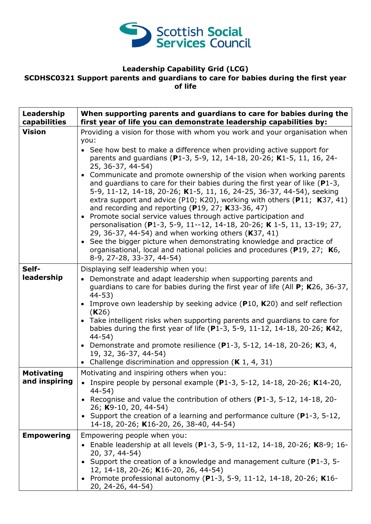

# **Leadership Capability Grid (LCG)**

## **SCDHSC0321 Support parents and guardians to care for babies during the first year of life**

| Leadership<br>capabilities         | When supporting parents and guardians to care for babies during the<br>first year of life you can demonstrate leadership capabilities by:                                                                                                                                                                                                                                                                                                                                                                                                                                                                                                                                                                                                                                                                                                                                                                                                                                                                                        |
|------------------------------------|----------------------------------------------------------------------------------------------------------------------------------------------------------------------------------------------------------------------------------------------------------------------------------------------------------------------------------------------------------------------------------------------------------------------------------------------------------------------------------------------------------------------------------------------------------------------------------------------------------------------------------------------------------------------------------------------------------------------------------------------------------------------------------------------------------------------------------------------------------------------------------------------------------------------------------------------------------------------------------------------------------------------------------|
| <b>Vision</b>                      | Providing a vision for those with whom you work and your organisation when<br>you:<br>• See how best to make a difference when providing active support for<br>parents and guardians (P1-3, 5-9, 12, 14-18, 20-26; K1-5, 11, 16, 24-<br>25, 36-37, 44-54)<br>Communicate and promote ownership of the vision when working parents<br>and quardians to care for their babies during the first year of like $(P1-3,$<br>5-9, 11-12, 14-18, 20-26; K1-5, 11, 16, 24-25, 36-37, 44-54), seeking<br>extra support and advice (P10; K20), working with others (P11; K37, 41)<br>and recording and reporting $(P19, 27; K33-36, 47)$<br>Promote social service values through active participation and<br>$\bullet$<br>personalisation (P1-3, 5-9, 11--12, 14-18, 20-26; K 1-5, 11, 13-19; 27,<br>29, 36-37, 44-54) and when working others (K37, 41)<br>• See the bigger picture when demonstrating knowledge and practice of<br>organisational, local and national policies and procedures (P19, 27; K6,<br>8-9, 27-28, 33-37, 44-54) |
| Self-<br>leadership                | Displaying self leadership when you:<br>• Demonstrate and adapt leadership when supporting parents and<br>guardians to care for babies during the first year of life (All $P$ ; K26, 36-37,<br>$44 - 53$<br>• Improve own leadership by seeking advice $(P10, K20)$ and self reflection<br>(K26)<br>Take intelligent risks when supporting parents and guardians to care for<br>babies during the first year of life (P1-3, 5-9, 11-12, 14-18, 20-26; K42,<br>$44 - 54)$<br>• Demonstrate and promote resilience (P1-3, 5-12, 14-18, 20-26; K3, 4,<br>19, 32, 36-37, 44-54)<br>• Challenge discrimination and oppression $(K 1, 4, 31)$                                                                                                                                                                                                                                                                                                                                                                                          |
| <b>Motivating</b><br>and inspiring | Motivating and inspiring others when you:<br>• Inspire people by personal example (P1-3, 5-12, 14-18, 20-26; K14-20,<br>$44 - 54$ )<br>Recognise and value the contribution of others (P1-3, 5-12, 14-18, 20-<br>26; K9-10, 20, 44-54)<br>• Support the creation of a learning and performance culture ( $P1-3$ , 5-12,<br>14-18, 20-26; K16-20, 26, 38-40, 44-54)                                                                                                                                                                                                                                                                                                                                                                                                                                                                                                                                                                                                                                                               |
| <b>Empowering</b>                  | Empowering people when you:<br>Enable leadership at all levels (P1-3, 5-9, 11-12, 14-18, 20-26; K8-9; 16-<br>20, 37, 44-54)<br>• Support the creation of a knowledge and management culture (P1-3, 5-<br>12, 14-18, 20-26; K16-20, 26, 44-54)<br>• Promote professional autonomy (P1-3, 5-9, 11-12, 14-18, 20-26; K16-<br>20, 24-26, 44-54)                                                                                                                                                                                                                                                                                                                                                                                                                                                                                                                                                                                                                                                                                      |